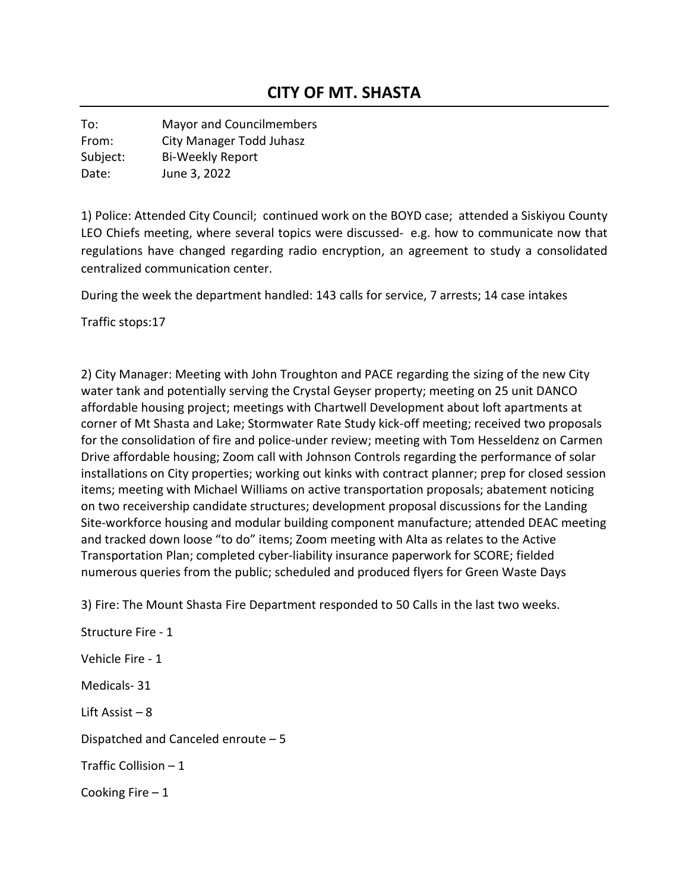To: Mayor and Councilmembers From: City Manager Todd Juhasz Subject: Bi-Weekly Report Date: June 3, 2022

1) Police: Attended City Council; continued work on the BOYD case; attended a Siskiyou County LEO Chiefs meeting, where several topics were discussed- e.g. how to communicate now that regulations have changed regarding radio encryption, an agreement to study a consolidated centralized communication center.

During the week the department handled: 143 calls for service, 7 arrests; 14 case intakes

Traffic stops:17

2) City Manager: Meeting with John Troughton and PACE regarding the sizing of the new City water tank and potentially serving the Crystal Geyser property; meeting on 25 unit DANCO affordable housing project; meetings with Chartwell Development about loft apartments at corner of Mt Shasta and Lake; Stormwater Rate Study kick-off meeting; received two proposals for the consolidation of fire and police-under review; meeting with Tom Hesseldenz on Carmen Drive affordable housing; Zoom call with Johnson Controls regarding the performance of solar installations on City properties; working out kinks with contract planner; prep for closed session items; meeting with Michael Williams on active transportation proposals; abatement noticing on two receivership candidate structures; development proposal discussions for the Landing Site-workforce housing and modular building component manufacture; attended DEAC meeting and tracked down loose "to do" items; Zoom meeting with Alta as relates to the Active Transportation Plan; completed cyber-liability insurance paperwork for SCORE; fielded numerous queries from the public; scheduled and produced flyers for Green Waste Days

3) Fire: The Mount Shasta Fire Department responded to 50 Calls in the last two weeks.

Structure Fire - 1 Vehicle Fire - 1 Medicals- 31 Lift Assist – 8 Dispatched and Canceled enroute – 5 Traffic Collision – 1 Cooking Fire  $-1$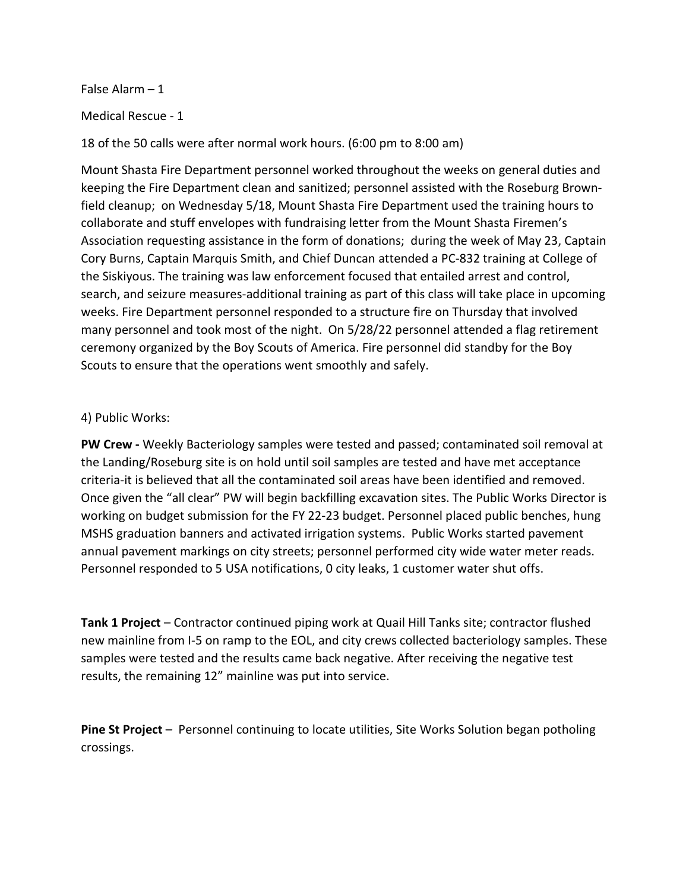False Alarm – 1

Medical Rescue - 1

18 of the 50 calls were after normal work hours. (6:00 pm to 8:00 am)

Mount Shasta Fire Department personnel worked throughout the weeks on general duties and keeping the Fire Department clean and sanitized; personnel assisted with the Roseburg Brownfield cleanup; on Wednesday 5/18, Mount Shasta Fire Department used the training hours to collaborate and stuff envelopes with fundraising letter from the Mount Shasta Firemen's Association requesting assistance in the form of donations; during the week of May 23, Captain Cory Burns, Captain Marquis Smith, and Chief Duncan attended a PC-832 training at College of the Siskiyous. The training was law enforcement focused that entailed arrest and control, search, and seizure measures-additional training as part of this class will take place in upcoming weeks. Fire Department personnel responded to a structure fire on Thursday that involved many personnel and took most of the night. On 5/28/22 personnel attended a flag retirement ceremony organized by the Boy Scouts of America. Fire personnel did standby for the Boy Scouts to ensure that the operations went smoothly and safely.

## 4) Public Works:

**PW Crew -** Weekly Bacteriology samples were tested and passed; contaminated soil removal at the Landing/Roseburg site is on hold until soil samples are tested and have met acceptance criteria-it is believed that all the contaminated soil areas have been identified and removed. Once given the "all clear" PW will begin backfilling excavation sites. The Public Works Director is working on budget submission for the FY 22-23 budget. Personnel placed public benches, hung MSHS graduation banners and activated irrigation systems. Public Works started pavement annual pavement markings on city streets; personnel performed city wide water meter reads. Personnel responded to 5 USA notifications, 0 city leaks, 1 customer water shut offs.

**Tank 1 Project** – Contractor continued piping work at Quail Hill Tanks site; contractor flushed new mainline from I-5 on ramp to the EOL, and city crews collected bacteriology samples. These samples were tested and the results came back negative. After receiving the negative test results, the remaining 12" mainline was put into service.

**Pine St Project** – Personnel continuing to locate utilities, Site Works Solution began potholing crossings.